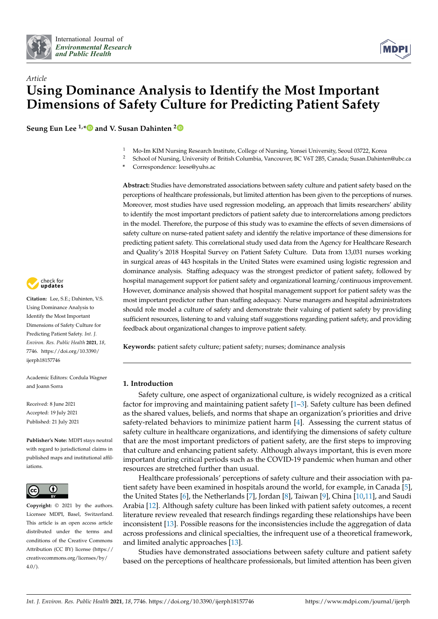



# *Article* **Using Dominance Analysis to Identify the Most Important Dimensions of Safety Culture for Predicting Patient Safety**

**Seung Eun Lee 1,[\\*](https://orcid.org/0000-0002-4173-3337) and V. Susan Dahinten [2](https://orcid.org/0000-0002-5469-922X)**

- 1 Mo-Im KIM Nursing Research Institute, College of Nursing, Yonsei University, Seoul 03722, Korea<br>2. Sebase of Nursing, University of British Columbia, Vancouver, PC V6T 2PE, Canada: Susan Debinta
- <sup>2</sup> School of Nursing, University of British Columbia, Vancouver, BC V6T 2B5, Canada; Susan.Dahinten@ubc.ca
- **\*** Correspondence: leese@yuhs.ac

**Abstract:** Studies have demonstrated associations between safety culture and patient safety based on the perceptions of healthcare professionals, but limited attention has been given to the perceptions of nurses. Moreover, most studies have used regression modeling, an approach that limits researchers' ability to identify the most important predictors of patient safety due to intercorrelations among predictors in the model. Therefore, the purpose of this study was to examine the effects of seven dimensions of safety culture on nurse-rated patient safety and identify the relative importance of these dimensions for predicting patient safety. This correlational study used data from the Agency for Healthcare Research and Quality's 2018 Hospital Survey on Patient Safety Culture. Data from 13,031 nurses working in surgical areas of 443 hospitals in the United States were examined using logistic regression and dominance analysis. Staffing adequacy was the strongest predictor of patient safety, followed by hospital management support for patient safety and organizational learning/continuous improvement. However, dominance analysis showed that hospital management support for patient safety was the most important predictor rather than staffing adequacy. Nurse managers and hospital administrators should role model a culture of safety and demonstrate their valuing of patient safety by providing sufficient resources, listening to and valuing staff suggestions regarding patient safety, and providing feedback about organizational changes to improve patient safety.

**Keywords:** patient safety culture; patient safety; nurses; dominance analysis

## **1. Introduction**

Safety culture, one aspect of organizational culture, is widely recognized as a critical factor for improving and maintaining patient safety [\[1–](#page-8-0)[3\]](#page-8-1). Safety culture has been defined as the shared values, beliefs, and norms that shape an organization's priorities and drive safety-related behaviors to minimize patient harm [\[4\]](#page-8-2). Assessing the current status of safety culture in healthcare organizations, and identifying the dimensions of safety culture that are the most important predictors of patient safety, are the first steps to improving that culture and enhancing patient safety. Although always important, this is even more important during critical periods such as the COVID-19 pandemic when human and other resources are stretched further than usual.

Healthcare professionals' perceptions of safety culture and their association with patient safety have been examined in hospitals around the world, for example, in Canada [\[5\]](#page-8-3), the United States [\[6\]](#page-8-4), the Netherlands [\[7\]](#page-8-5), Jordan [\[8\]](#page-8-6), Taiwan [\[9\]](#page-8-7), China [\[10](#page-8-8)[,11\]](#page-8-9), and Saudi Arabia [\[12\]](#page-8-10). Although safety culture has been linked with patient safety outcomes, a recent literature review revealed that research findings regarding these relationships have been inconsistent [\[13\]](#page-8-11). Possible reasons for the inconsistencies include the aggregation of data across professions and clinical specialties, the infrequent use of a theoretical framework, and limited analytic approaches [\[13\]](#page-8-11).

Studies have demonstrated associations between safety culture and patient safety based on the perceptions of healthcare professionals, but limited attention has been given



**Citation:** Lee, S.E.; Dahinten, V.S. Using Dominance Analysis to Identify the Most Important Dimensions of Safety Culture for Predicting Patient Safety. *Int. J. Environ. Res. Public Health* **2021**, *18*, 7746. [https://doi.org/10.3390/](https://doi.org/10.3390/ijerph18157746) [ijerph18157746](https://doi.org/10.3390/ijerph18157746)

Academic Editors: Cordula Wagner and Joann Sorra

Received: 8 June 2021 Accepted: 19 July 2021 Published: 21 July 2021

**Publisher's Note:** MDPI stays neutral with regard to jurisdictional claims in published maps and institutional affiliations.



**Copyright:** © 2021 by the authors. Licensee MDPI, Basel, Switzerland. This article is an open access article distributed under the terms and conditions of the Creative Commons Attribution (CC BY) license (https:/[/](https://creativecommons.org/licenses/by/4.0/) [creativecommons.org/licenses/by/](https://creativecommons.org/licenses/by/4.0/)  $4.0/$ ).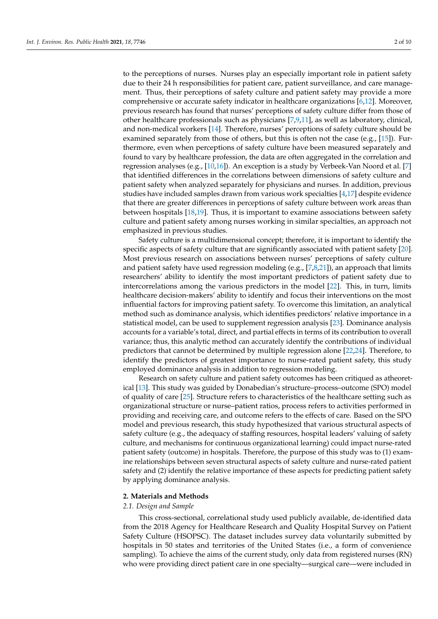to the perceptions of nurses. Nurses play an especially important role in patient safety due to their 24 h responsibilities for patient care, patient surveillance, and care management. Thus, their perceptions of safety culture and patient safety may provide a more comprehensive or accurate safety indicator in healthcare organizations [\[6](#page-8-4)[,12\]](#page-8-10). Moreover, previous research has found that nurses' perceptions of safety culture differ from those of other healthcare professionals such as physicians [\[7,](#page-8-5)[9,](#page-8-7)[11\]](#page-8-9), as well as laboratory, clinical, and non-medical workers [\[14\]](#page-8-12). Therefore, nurses' perceptions of safety culture should be examined separately from those of others, but this is often not the case (e.g., [\[15\]](#page-8-13)). Furthermore, even when perceptions of safety culture have been measured separately and found to vary by healthcare profession, the data are often aggregated in the correlation and regression analyses (e.g., [\[10](#page-8-8)[,16\]](#page-8-14)). An exception is a study by Verbeek-Van Noord et al. [\[7\]](#page-8-5) that identified differences in the correlations between dimensions of safety culture and patient safety when analyzed separately for physicians and nurses. In addition, previous studies have included samples drawn from various work specialties [\[4](#page-8-2)[,17\]](#page-8-15) despite evidence that there are greater differences in perceptions of safety culture between work areas than between hospitals [\[18](#page-8-16)[,19\]](#page-8-17). Thus, it is important to examine associations between safety culture and patient safety among nurses working in similar specialties, an approach not emphasized in previous studies.

Safety culture is a multidimensional concept; therefore, it is important to identify the specific aspects of safety culture that are significantly associated with patient safety [\[20\]](#page-8-18). Most previous research on associations between nurses' perceptions of safety culture and patient safety have used regression modeling (e.g.,  $[7,8,21]$  $[7,8,21]$  $[7,8,21]$ ), an approach that limits researchers' ability to identify the most important predictors of patient safety due to intercorrelations among the various predictors in the model [\[22\]](#page-8-20). This, in turn, limits healthcare decision-makers' ability to identify and focus their interventions on the most influential factors for improving patient safety. To overcome this limitation, an analytical method such as dominance analysis, which identifies predictors' relative importance in a statistical model, can be used to supplement regression analysis [\[23\]](#page-8-21). Dominance analysis accounts for a variable's total, direct, and partial effects in terms of its contribution to overall variance; thus, this analytic method can accurately identify the contributions of individual predictors that cannot be determined by multiple regression alone [\[22,](#page-8-20)[24\]](#page-8-22). Therefore, to identify the predictors of greatest importance to nurse-rated patient safety, this study employed dominance analysis in addition to regression modeling.

Research on safety culture and patient safety outcomes has been critiqued as atheoretical [\[13\]](#page-8-11). This study was guided by Donabedian's structure–process–outcome (SPO) model of quality of care [\[25\]](#page-8-23). Structure refers to characteristics of the healthcare setting such as organizational structure or nurse–patient ratios, process refers to activities performed in providing and receiving care, and outcome refers to the effects of care. Based on the SPO model and previous research, this study hypothesized that various structural aspects of safety culture (e.g., the adequacy of staffing resources, hospital leaders' valuing of safety culture, and mechanisms for continuous organizational learning) could impact nurse-rated patient safety (outcome) in hospitals. Therefore, the purpose of this study was to (1) examine relationships between seven structural aspects of safety culture and nurse-rated patient safety and (2) identify the relative importance of these aspects for predicting patient safety by applying dominance analysis.

#### **2. Materials and Methods**

## *2.1. Design and Sample*

This cross-sectional, correlational study used publicly available, de-identified data from the 2018 Agency for Healthcare Research and Quality Hospital Survey on Patient Safety Culture (HSOPSC). The dataset includes survey data voluntarily submitted by hospitals in 50 states and territories of the United States (i.e., a form of convenience sampling). To achieve the aims of the current study, only data from registered nurses (RN) who were providing direct patient care in one specialty—surgical care—were included in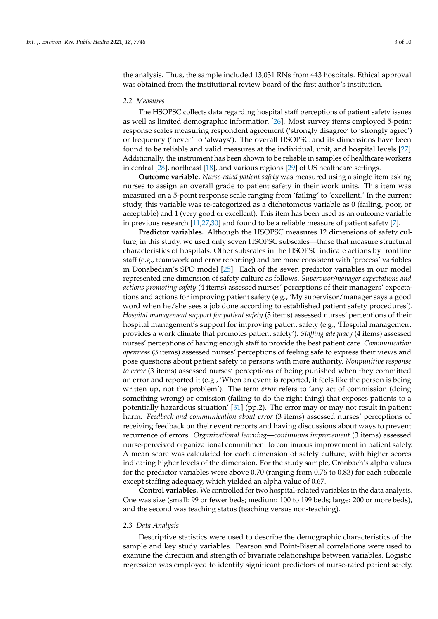the analysis. Thus, the sample included 13,031 RNs from 443 hospitals. Ethical approval was obtained from the institutional review board of the first author's institution.

#### *2.2. Measures*

The HSOPSC collects data regarding hospital staff perceptions of patient safety issues as well as limited demographic information [\[26\]](#page-9-0). Most survey items employed 5-point response scales measuring respondent agreement ('strongly disagree' to 'strongly agree') or frequency ('never' to 'always'). The overall HSOPSC and its dimensions have been found to be reliable and valid measures at the individual, unit, and hospital levels [\[27\]](#page-9-1). Additionally, the instrument has been shown to be reliable in samples of healthcare workers in central [\[28\]](#page-9-2), northeast [\[18\]](#page-8-16), and various regions [\[29\]](#page-9-3) of US healthcare settings.

**Outcome variable.** *Nurse-rated patient safety* was measured using a single item asking nurses to assign an overall grade to patient safety in their work units. This item was measured on a 5-point response scale ranging from 'failing' to 'excellent.' In the current study, this variable was re-categorized as a dichotomous variable as 0 (failing, poor, or acceptable) and 1 (very good or excellent). This item has been used as an outcome variable in previous research [\[11](#page-8-9)[,27](#page-9-1)[,30\]](#page-9-4) and found to be a reliable measure of patient safety [\[7\]](#page-8-5).

**Predictor variables.** Although the HSOPSC measures 12 dimensions of safety culture, in this study, we used only seven HSOPSC subscales—those that measure structural characteristics of hospitals. Other subscales in the HSOPSC indicate actions by frontline staff (e.g., teamwork and error reporting) and are more consistent with 'process' variables in Donabedian's SPO model [\[25\]](#page-8-23). Each of the seven predictor variables in our model represented one dimension of safety culture as follows. *Supervisor/manager expectations and actions promoting safety* (4 items) assessed nurses' perceptions of their managers' expectations and actions for improving patient safety (e.g., 'My supervisor/manager says a good word when he/she sees a job done according to established patient safety procedures'). *Hospital management support for patient safety* (3 items) assessed nurses' perceptions of their hospital management's support for improving patient safety (e.g., 'Hospital management provides a work climate that promotes patient safety'). *Staffing adequacy* (4 items) assessed nurses' perceptions of having enough staff to provide the best patient care. *Communication openness* (3 items) assessed nurses' perceptions of feeling safe to express their views and pose questions about patient safety to persons with more authority. *Nonpunitive response to error* (3 items) assessed nurses' perceptions of being punished when they committed an error and reported it (e.g., 'When an event is reported, it feels like the person is being written up, not the problem'). The term *error* refers to 'any act of commission (doing something wrong) or omission (failing to do the right thing) that exposes patients to a potentially hazardous situation' [\[31\]](#page-9-5) (pp.2). The error may or may not result in patient harm. *Feedback and communication about error* (3 items) assessed nurses' perceptions of receiving feedback on their event reports and having discussions about ways to prevent recurrence of errors. *Organizational learning*—*continuous improvement* (3 items) assessed nurse-perceived organizational commitment to continuous improvement in patient safety. A mean score was calculated for each dimension of safety culture, with higher scores indicating higher levels of the dimension. For the study sample, Cronbach's alpha values for the predictor variables were above 0.70 (ranging from 0.76 to 0.83) for each subscale except staffing adequacy, which yielded an alpha value of 0.67.

**Control variables.** We controlled for two hospital-related variables in the data analysis. One was size (small: 99 or fewer beds; medium: 100 to 199 beds; large: 200 or more beds), and the second was teaching status (teaching versus non-teaching).

#### *2.3. Data Analysis*

Descriptive statistics were used to describe the demographic characteristics of the sample and key study variables. Pearson and Point-Biserial correlations were used to examine the direction and strength of bivariate relationships between variables. Logistic regression was employed to identify significant predictors of nurse-rated patient safety.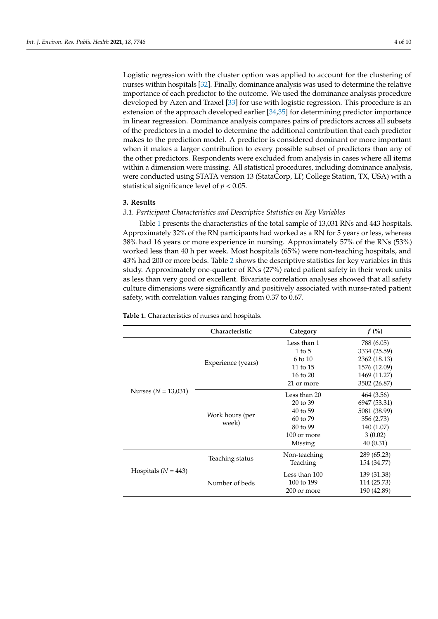Logistic regression with the cluster option was applied to account for the clustering of nurses within hospitals [\[32\]](#page-9-6). Finally, dominance analysis was used to determine the relative importance of each predictor to the outcome. We used the dominance analysis procedure developed by Azen and Traxel [\[33\]](#page-9-7) for use with logistic regression. This procedure is an extension of the approach developed earlier [\[34](#page-9-8)[,35\]](#page-9-9) for determining predictor importance in linear regression. Dominance analysis compares pairs of predictors across all subsets of the predictors in a model to determine the additional contribution that each predictor makes to the prediction model. A predictor is considered dominant or more important when it makes a larger contribution to every possible subset of predictors than any of the other predictors. Respondents were excluded from analysis in cases where all items within a dimension were missing. All statistical procedures, including dominance analysis, were conducted using STATA version 13 (StataCorp, LP, College Station, TX, USA) with a statistical significance level of *p* < 0.05.

#### **3. Results**

## *3.1. Participant Characteristics and Descriptive Statistics on Key Variables*

Table [1](#page-3-0) presents the characteristics of the total sample of 13,031 RNs and 443 hospitals. Approximately 32% of the RN participants had worked as a RN for 5 years or less, whereas 38% had 16 years or more experience in nursing. Approximately 57% of the RNs (53%) worked less than 40 h per week. Most hospitals (65%) were non-teaching hospitals, and 43% had 200 or more beds. Table [2](#page-4-0) shows the descriptive statistics for key variables in this study. Approximately one-quarter of RNs (27%) rated patient safety in their work units as less than very good or excellent. Bivariate correlation analyses showed that all safety culture dimensions were significantly and positively associated with nurse-rated patient safety, with correlation values ranging from 0.37 to 0.67.

<span id="page-3-0"></span>**Table 1.** Characteristics of nurses and hospitals.

|                         | Characteristic           | Category            | $f$ (%)      |
|-------------------------|--------------------------|---------------------|--------------|
| Nurses ( $N = 13,031$ ) | Experience (years)       | Less than 1         | 788 (6.05)   |
|                         |                          | $1$ to $5$          | 3334 (25.59) |
|                         |                          | $6 \text{ to } 10$  | 2362 (18.13) |
|                         |                          | 11 to $15$          | 1576 (12.09) |
|                         |                          | $16 \text{ to } 20$ | 1469 (11.27) |
|                         |                          | 21 or more          | 3502 (26.87) |
|                         | Work hours (per<br>week) | Less than 20        | 464 (3.56)   |
|                         |                          | 20 to 39            | 6947 (53.31) |
|                         |                          | $40$ to 59          | 5081 (38.99) |
|                         |                          | $60 \text{ to } 79$ | 356 (2.73)   |
|                         |                          | $80$ to 99          | 140 (1.07)   |
|                         |                          | 100 or more         | 3(0.02)      |
|                         |                          | Missing             | 40(0.31)     |
| Hospitals ( $N = 443$ ) | Teaching status          | Non-teaching        | 289 (65.23)  |
|                         |                          | Teaching            | 154 (34.77)  |
|                         | Number of beds           | Less than 100       | 139 (31.38)  |
|                         |                          | 100 to 199          | 114 (25.73)  |
|                         |                          | 200 or more         | 190 (42.89)  |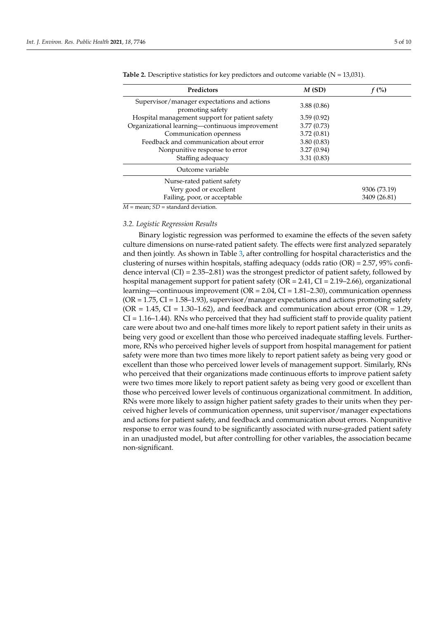| Predictors                                                      | M(SD)      | f(%)         |
|-----------------------------------------------------------------|------------|--------------|
| Supervisor/manager expectations and actions<br>promoting safety | 3.88(0.86) |              |
| Hospital management support for patient safety                  | 3.59(0.92) |              |
| Organizational learning-continuous improvement                  | 3.77(0.73) |              |
| Communication openness                                          | 3.72(0.81) |              |
| Feedback and communication about error                          | 3.80(0.83) |              |
| Nonpunitive response to error                                   | 3.27(0.94) |              |
| Staffing adequacy                                               | 3.31(0.83) |              |
| Outcome variable                                                |            |              |
| Nurse-rated patient safety                                      |            |              |
| Very good or excellent                                          |            | 9306 (73.19) |
| Failing, poor, or acceptable                                    |            | 3409 (26.81) |

<span id="page-4-0"></span>**Table 2.** Descriptive statistics for key predictors and outcome variable  $(N = 13,031)$ .

 $\overline{M}$  = mean: *SD* = standard deviation.

#### *3.2. Logistic Regression Results*

Binary logistic regression was performed to examine the effects of the seven safety culture dimensions on nurse-rated patient safety. The effects were first analyzed separately and then jointly. As shown in Table [3,](#page-5-0) after controlling for hospital characteristics and the clustering of nurses within hospitals, staffing adequacy (odds ratio (OR) = 2.57, 95% confidence interval  $(CI) = 2.35-2.81$ ) was the strongest predictor of patient safety, followed by hospital management support for patient safety ( $OR = 2.41$ ,  $CI = 2.19-2.66$ ), organizational learning—continuous improvement (OR = 2.04, CI = 1.81–2.30), communication openness  $(OR = 1.75, CI = 1.58-1.93)$ , supervisor/manager expectations and actions promoting safety  $(OR = 1.45, CI = 1.30-1.62)$ , and feedback and communication about error  $(OR = 1.29)$ ,  $CI = 1.16-1.44$ ). RNs who perceived that they had sufficient staff to provide quality patient care were about two and one-half times more likely to report patient safety in their units as being very good or excellent than those who perceived inadequate staffing levels. Furthermore, RNs who perceived higher levels of support from hospital management for patient safety were more than two times more likely to report patient safety as being very good or excellent than those who perceived lower levels of management support. Similarly, RNs who perceived that their organizations made continuous efforts to improve patient safety were two times more likely to report patient safety as being very good or excellent than those who perceived lower levels of continuous organizational commitment. In addition, RNs were more likely to assign higher patient safety grades to their units when they perceived higher levels of communication openness, unit supervisor/manager expectations and actions for patient safety, and feedback and communication about errors. Nonpunitive response to error was found to be significantly associated with nurse-graded patient safety in an unadjusted model, but after controlling for other variables, the association became non-significant.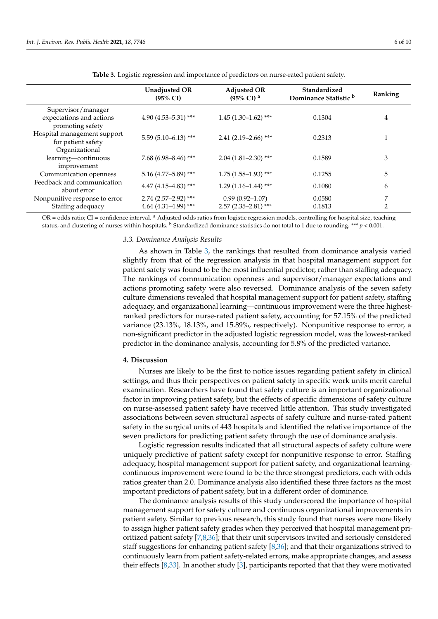<span id="page-5-0"></span>

|                                                                     | <b>Unadjusted OR</b><br>$(95\% \text{ CI})$      | <b>Adjusted OR</b><br>$(95\% \text{ CI})$ <sup>a</sup> | Standardized<br>Dominance Statistic <sup>b</sup> | Ranking |
|---------------------------------------------------------------------|--------------------------------------------------|--------------------------------------------------------|--------------------------------------------------|---------|
| Supervisor/manager<br>expectations and actions<br>promoting safety  | $4.90(4.53 - 5.31)$ ***                          | $1.45(1.30-1.62)$ ***                                  | 0.1304                                           | 4       |
| Hospital management support<br>for patient safety<br>Organizational | $5.59$ (5.10-6.13) ***                           | $2.41(2.19-2.66)$ ***                                  | 0.2313                                           | 1       |
| learning-continuous<br>improvement                                  | $7.68(6.98 - 8.46)$ ***                          | $2.04(1.81 - 2.30)$ ***                                | 0.1589                                           | 3       |
| Communication openness                                              | $5.16$ (4.77-5.89) ***                           | $1.75$ (1.58–1.93) ***                                 | 0.1255                                           | 5       |
| Feedback and communication<br>about error                           | $4.47(4.15-4.83)$ ***                            | $1.29(1.16-1.44)$ ***                                  | 0.1080                                           | 6       |
| Nonpunitive response to error<br>Staffing adequacy                  | $2.74$ (2.57-2.92) ***<br>4.64 $(4.31-4.99)$ *** | $0.99(0.92 - 1.07)$<br>$2.57(2.35-2.81)$ ***           | 0.0580<br>0.1813                                 | 7<br>2  |

**Table 3.** Logistic regression and importance of predictors on nurse-rated patient safety.

OR = odds ratio; CI = confidence interval. <sup>a</sup> Adjusted odds ratios from logistic regression models, controlling for hospital size, teaching status, and clustering of nurses within hospitals.  $\frac{b}{b}$  Standardized dominance statistics do not total to 1 due to rounding. \*\*\*  $p < 0.001$ .

## *3.3. Dominance Analysis Results*

As shown in Table [3,](#page-5-0) the rankings that resulted from dominance analysis varied slightly from that of the regression analysis in that hospital management support for patient safety was found to be the most influential predictor, rather than staffing adequacy. The rankings of communication openness and supervisor/manager expectations and actions promoting safety were also reversed. Dominance analysis of the seven safety culture dimensions revealed that hospital management support for patient safety, staffing adequacy, and organizational learning—continuous improvement were the three highestranked predictors for nurse-rated patient safety, accounting for 57.15% of the predicted variance (23.13%, 18.13%, and 15.89%, respectively). Nonpunitive response to error, a non-significant predictor in the adjusted logistic regression model, was the lowest-ranked predictor in the dominance analysis, accounting for 5.8% of the predicted variance.

## **4. Discussion**

Nurses are likely to be the first to notice issues regarding patient safety in clinical settings, and thus their perspectives on patient safety in specific work units merit careful examination. Researchers have found that safety culture is an important organizational factor in improving patient safety, but the effects of specific dimensions of safety culture on nurse-assessed patient safety have received little attention. This study investigated associations between seven structural aspects of safety culture and nurse-rated patient safety in the surgical units of 443 hospitals and identified the relative importance of the seven predictors for predicting patient safety through the use of dominance analysis.

Logistic regression results indicated that all structural aspects of safety culture were uniquely predictive of patient safety except for nonpunitive response to error. Staffing adequacy, hospital management support for patient safety, and organizational learningcontinuous improvement were found to be the three strongest predictors, each with odds ratios greater than 2.0. Dominance analysis also identified these three factors as the most important predictors of patient safety, but in a different order of dominance.

The dominance analysis results of this study underscored the importance of hospital management support for safety culture and continuous organizational improvements in patient safety. Similar to previous research, this study found that nurses were more likely to assign higher patient safety grades when they perceived that hospital management prioritized patient safety [\[7,](#page-8-5)[8,](#page-8-6)[36\]](#page-9-10); that their unit supervisors invited and seriously considered staff suggestions for enhancing patient safety [\[8,](#page-8-6)[36\]](#page-9-10); and that their organizations strived to continuously learn from patient safety-related errors, make appropriate changes, and assess their effects [\[8,](#page-8-6)[33\]](#page-9-7). In another study [\[3\]](#page-8-1), participants reported that that they were motivated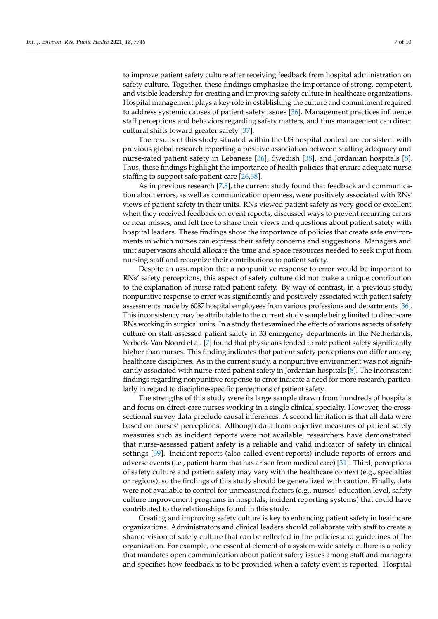to improve patient safety culture after receiving feedback from hospital administration on safety culture. Together, these findings emphasize the importance of strong, competent, and visible leadership for creating and improving safety culture in healthcare organizations. Hospital management plays a key role in establishing the culture and commitment required to address systemic causes of patient safety issues [\[36\]](#page-9-10). Management practices influence staff perceptions and behaviors regarding safety matters, and thus management can direct cultural shifts toward greater safety [\[37\]](#page-9-11).

The results of this study situated within the US hospital context are consistent with previous global research reporting a positive association between staffing adequacy and nurse-rated patient safety in Lebanese [\[36\]](#page-9-10), Swedish [\[38\]](#page-9-12), and Jordanian hospitals [\[8\]](#page-8-6). Thus, these findings highlight the importance of health policies that ensure adequate nurse staffing to support safe patient care [\[26,](#page-9-0)[38\]](#page-9-12).

As in previous research [\[7](#page-8-5)[,8\]](#page-8-6), the current study found that feedback and communication about errors, as well as communication openness, were positively associated with RNs' views of patient safety in their units. RNs viewed patient safety as very good or excellent when they received feedback on event reports, discussed ways to prevent recurring errors or near misses, and felt free to share their views and questions about patient safety with hospital leaders. These findings show the importance of policies that create safe environments in which nurses can express their safety concerns and suggestions. Managers and unit supervisors should allocate the time and space resources needed to seek input from nursing staff and recognize their contributions to patient safety.

Despite an assumption that a nonpunitive response to error would be important to RNs' safety perceptions, this aspect of safety culture did not make a unique contribution to the explanation of nurse-rated patient safety. By way of contrast, in a previous study, nonpunitive response to error was significantly and positively associated with patient safety assessments made by 6087 hospital employees from various professions and departments [\[36\]](#page-9-10). This inconsistency may be attributable to the current study sample being limited to direct-care RNs working in surgical units. In a study that examined the effects of various aspects of safety culture on staff-assessed patient safety in 33 emergency departments in the Netherlands, Verbeek-Van Noord et al. [\[7\]](#page-8-5) found that physicians tended to rate patient safety significantly higher than nurses. This finding indicates that patient safety perceptions can differ among healthcare disciplines. As in the current study, a nonpunitive environment was not significantly associated with nurse-rated patient safety in Jordanian hospitals [\[8\]](#page-8-6). The inconsistent findings regarding nonpunitive response to error indicate a need for more research, particularly in regard to discipline-specific perceptions of patient safety.

The strengths of this study were its large sample drawn from hundreds of hospitals and focus on direct-care nurses working in a single clinical specialty. However, the crosssectional survey data preclude causal inferences. A second limitation is that all data were based on nurses' perceptions. Although data from objective measures of patient safety measures such as incident reports were not available, researchers have demonstrated that nurse-assessed patient safety is a reliable and valid indicator of safety in clinical settings [\[39\]](#page-9-13). Incident reports (also called event reports) include reports of errors and adverse events (i.e., patient harm that has arisen from medical care) [\[31\]](#page-9-5). Third, perceptions of safety culture and patient safety may vary with the healthcare context (e.g., specialties or regions), so the findings of this study should be generalized with caution. Finally, data were not available to control for unmeasured factors (e.g., nurses' education level, safety culture improvement programs in hospitals, incident reporting systems) that could have contributed to the relationships found in this study.

Creating and improving safety culture is key to enhancing patient safety in healthcare organizations. Administrators and clinical leaders should collaborate with staff to create a shared vision of safety culture that can be reflected in the policies and guidelines of the organization. For example, one essential element of a system-wide safety culture is a policy that mandates open communication about patient safety issues among staff and managers and specifies how feedback is to be provided when a safety event is reported. Hospital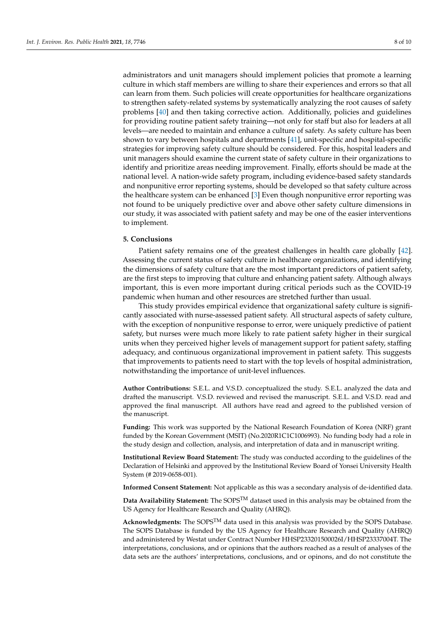administrators and unit managers should implement policies that promote a learning culture in which staff members are willing to share their experiences and errors so that all can learn from them. Such policies will create opportunities for healthcare organizations to strengthen safety-related systems by systematically analyzing the root causes of safety problems [\[40\]](#page-9-14) and then taking corrective action. Additionally, policies and guidelines for providing routine patient safety training—not only for staff but also for leaders at all levels—are needed to maintain and enhance a culture of safety. As safety culture has been shown to vary between hospitals and departments [\[41\]](#page-9-15), unit-specific and hospital-specific strategies for improving safety culture should be considered. For this, hospital leaders and unit managers should examine the current state of safety culture in their organizations to identify and prioritize areas needing improvement. Finally, efforts should be made at the national level. A nation-wide safety program, including evidence-based safety standards and nonpunitive error reporting systems, should be developed so that safety culture across the healthcare system can be enhanced [\[3\]](#page-8-1) Even though nonpunitive error reporting was not found to be uniquely predictive over and above other safety culture dimensions in our study, it was associated with patient safety and may be one of the easier interventions to implement.

# **5. Conclusions**

Patient safety remains one of the greatest challenges in health care globally [\[42\]](#page-9-16). Assessing the current status of safety culture in healthcare organizations, and identifying the dimensions of safety culture that are the most important predictors of patient safety, are the first steps to improving that culture and enhancing patient safety. Although always important, this is even more important during critical periods such as the COVID-19 pandemic when human and other resources are stretched further than usual.

This study provides empirical evidence that organizational safety culture is significantly associated with nurse-assessed patient safety. All structural aspects of safety culture, with the exception of nonpunitive response to error, were uniquely predictive of patient safety, but nurses were much more likely to rate patient safety higher in their surgical units when they perceived higher levels of management support for patient safety, staffing adequacy, and continuous organizational improvement in patient safety. This suggests that improvements to patients need to start with the top levels of hospital administration, notwithstanding the importance of unit-level influences.

**Author Contributions:** S.E.L. and V.S.D. conceptualized the study. S.E.L. analyzed the data and drafted the manuscript. V.S.D. reviewed and revised the manuscript. S.E.L. and V.S.D. read and approved the final manuscript. All authors have read and agreed to the published version of the manuscript.

**Funding:** This work was supported by the National Research Foundation of Korea (NRF) grant funded by the Korean Government (MSIT) (No.2020R1C1C1006993). No funding body had a role in the study design and collection, analysis, and interpretation of data and in manuscript writing.

**Institutional Review Board Statement:** The study was conducted according to the guidelines of the Declaration of Helsinki and approved by the Institutional Review Board of Yonsei University Health System (# 2019-0658-001).

**Informed Consent Statement:** Not applicable as this was a secondary analysis of de-identified data.

Data Availability Statement: The SOPS<sup>TM</sup> dataset used in this analysis may be obtained from the US Agency for Healthcare Research and Quality (AHRQ).

**Acknowledgments:** The SOPSTM data used in this analysis was provided by the SOPS Database. The SOPS Database is funded by the US Agency for Healthcare Research and Quality (AHRQ) and administered by Westat under Contract Number HHSP233201500026I/HHSP23337004T. The interpretations, conclusions, and or opinions that the authors reached as a result of analyses of the data sets are the authors' interpretations, conclusions, and or opinons, and do not constitute the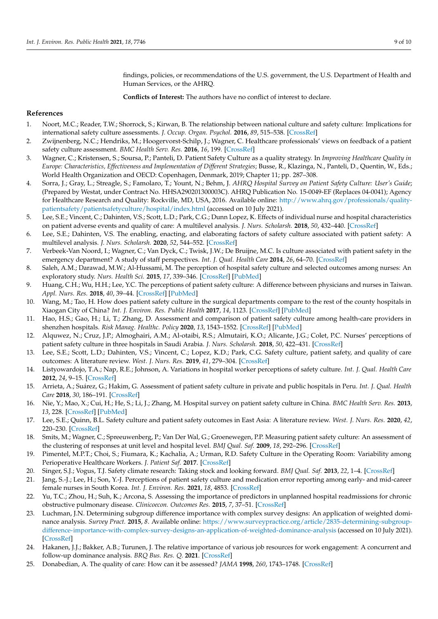findings, policies, or recommendations of the U.S. government, the U.S. Department of Health and Human Services, or the AHRQ.

**Conflicts of Interest:** The authors have no conflict of interest to declare.

# **References**

- <span id="page-8-0"></span>1. Noort, M.C.; Reader, T.W.; Shorrock, S.; Kirwan, B. The relationship between national culture and safety culture: Implications for international safety culture assessments. *J. Occup. Organ. Psychol.* **2016**, *89*, 515–538. [\[CrossRef\]](http://doi.org/10.1111/joop.12139)
- 2. Zwijnenberg, N.C.; Hendriks, M.; Hoogervorst-Schilp, J.; Wagner, C. Healthcare professionals' views on feedback of a patient safety culture assessment. *BMC Health Serv. Res.* **2016**, *16*, 199. [\[CrossRef\]](http://doi.org/10.1186/s12913-016-1404-8)
- <span id="page-8-1"></span>3. Wagner, C.; Kristensen, S.; Soursa, P.; Panteli, D. Patient Safety Culture as a quality strategy. In *Improving Healthcare Quality in Europe: Characteristics, Effectiveness and Implementation of Different Strategies*; Busse, R., Klazinga, N., Panteli, D., Quentin, W., Eds.; World Health Organization and OECD: Copenhagen, Denmark, 2019; Chapter 11; pp. 287–308.
- <span id="page-8-2"></span>4. Sorra, J.; Gray, L.; Streagle, S.; Famolaro, T.; Yount, N.; Behm, J. *AHRQ Hospital Survey on Patient Safety Culture: User's Guide*; (Prepared by Westat, under Contract No. HHSA290201300003C). AHRQ Publication No. 15-0049-EF (Replaces 04-0041); Agency for Healthcare Research and Quality: Rockville, MD, USA, 2016. Available online: [http://www.ahrq.gov/professionals/quality](http://www.ahrq.gov/professionals/quality-patientsafety/patientsafetyculture/hospital/index.html)[patientsafety/patientsafetyculture/hospital/index.html](http://www.ahrq.gov/professionals/quality-patientsafety/patientsafetyculture/hospital/index.html) (accessed on 10 July 2021).
- <span id="page-8-3"></span>5. Lee, S.E.; Vincent, C.; Dahinten, V.S.; Scott, L.D.; Park, C.G.; Dunn Lopez, K. Effects of individual nurse and hospital characteristics on patient adverse events and quality of care: A multilevel analysis. *J. Nurs. Scholarsh.* **2018**, *50*, 432–440. [\[CrossRef\]](http://doi.org/10.1111/jnu.12396)
- <span id="page-8-4"></span>6. Lee, S.E.; Dahinten, V.S. The enabling, enacting, and elaborating factors of safety culture associated with patient safety: A multilevel analysis. *J. Nurs. Scholarsh.* **2020**, *52*, 544–552. [\[CrossRef\]](http://doi.org/10.1111/jnu.12585)
- <span id="page-8-5"></span>7. Verbeek-Van Noord, I.; Wagner, C.; Van Dyck, C.; Twisk, J.W.; De Bruijne, M.C. Is culture associated with patient safety in the emergency department? A study of staff perspectives. *Int. J. Qual. Health Care* **2014**, *26*, 64–70. [\[CrossRef\]](http://doi.org/10.1093/intqhc/mzt087)
- <span id="page-8-6"></span>8. Saleh, A.M.; Darawad, M.W.; Al-Hussami, M. The perception of hospital safety culture and selected outcomes among nurses: An exploratory study. *Nurs. Health Sci.* **2015**, *17*, 339–346. [\[CrossRef\]](http://doi.org/10.1111/nhs.12196) [\[PubMed\]](http://www.ncbi.nlm.nih.gov/pubmed/26095303)
- <span id="page-8-7"></span>9. Huang, C.H.; Wu, H.H.; Lee, Y.C. The perceptions of patient safety culture: A difference between physicians and nurses in Taiwan. *Appl. Nurs. Res.* **2018**, *40*, 39–44. [\[CrossRef\]](http://doi.org/10.1016/j.apnr.2017.12.010) [\[PubMed\]](http://www.ncbi.nlm.nih.gov/pubmed/29579497)
- <span id="page-8-8"></span>10. Wang, M.; Tao, H. How does patient safety culture in the surgical departments compare to the rest of the county hospitals in Xiaogan City of China? *Int. J. Environ. Res. Public Health* **2017**, *14*, 1123. [\[CrossRef\]](http://doi.org/10.3390/ijerph14101123) [\[PubMed\]](http://www.ncbi.nlm.nih.gov/pubmed/28954427)
- <span id="page-8-9"></span>11. Hao, H.S.; Gao, H.; Li, T.; Zhang, D. Assessment and comparison of patient safety culture among health-care providers in shenzhen hospitals. *Risk Manag. Healthc. Policy* **2020**, *13*, 1543–1552. [\[CrossRef\]](http://doi.org/10.2147/RMHP.S266813) [\[PubMed\]](http://www.ncbi.nlm.nih.gov/pubmed/32982512)
- <span id="page-8-10"></span>12. Alquwez, N.; Cruz, J.P.; Almoghairi, A.M.; Al-otaibi, R.S.; Almutairi, K.O.; Alicante, J.G.; Colet, P.C. Nurses' perceptions of patient safety culture in three hospitals in Saudi Arabia. *J. Nurs. Scholarsh.* **2018**, *50*, 422–431. [\[CrossRef\]](http://doi.org/10.1111/jnu.12394)
- <span id="page-8-11"></span>13. Lee, S.E.; Scott, L.D.; Dahinten, V.S.; Vincent, C.; Lopez, K.D.; Park, C.G. Safety culture, patient safety, and quality of care outcomes: A literature review. *West. J. Nurs. Res.* **2019**, *41*, 279–304. [\[CrossRef\]](http://doi.org/10.1177/0193945917747416)
- <span id="page-8-12"></span>14. Listyowardojo, T.A.; Nap, R.E.; Johnson, A. Variations in hospital worker perceptions of safety culture. *Int. J. Qual. Health Care* **2012**, *24*, 9–15. [\[CrossRef\]](http://doi.org/10.1093/intqhc/mzr069)
- <span id="page-8-13"></span>15. Arrieta, A.; Suárez, G.; Hakim, G. Assessment of patient safety culture in private and public hospitals in Peru. *Int. J. Qual. Health Care* **2018**, *30*, 186–191. [\[CrossRef\]](http://doi.org/10.1093/intqhc/mzx165)
- <span id="page-8-14"></span>16. Nie, Y.; Mao, X.; Cui, H.; He, S.; Li, J.; Zhang, M. Hospital survey on patient safety culture in China. *BMC Health Serv. Res.* **2013**, *13*, 228. [\[CrossRef\]](http://doi.org/10.1186/1472-6963-13-228) [\[PubMed\]](http://www.ncbi.nlm.nih.gov/pubmed/23800307)
- <span id="page-8-15"></span>17. Lee, S.E.; Quinn, B.L. Safety culture and patient safety outcomes in East Asia: A literature review. *West. J. Nurs. Res.* **2020**, *42*, 220–230. [\[CrossRef\]](http://doi.org/10.1177/0193945919848755)
- <span id="page-8-16"></span>18. Smits, M.; Wagner, C.; Spreeuwenberg, P.; Van Der Wal, G.; Groenewegen, P.P. Measuring patient safety culture: An assessment of the clustering of responses at unit level and hospital level. *BMJ Qual. Saf.* **2009**, *18*, 292–296. [\[CrossRef\]](http://doi.org/10.1136/qshc.2007.025965)
- <span id="page-8-17"></span>19. Pimentel, M.P.T.; Choi, S.; Fiumara, K.; Kachalia, A.; Urman, R.D. Safety Culture in the Operating Room: Variability among Perioperative Healthcare Workers. *J. Patient Saf.* **2017**. [\[CrossRef\]](http://doi.org/10.1097/PTS.0000000000000385)
- <span id="page-8-18"></span>20. Singer, S.J.; Vogus, T.J. Safety climate research: Taking stock and looking forward. *BMJ Qual. Saf.* **2013**, *22*, 1–4. [\[CrossRef\]](http://doi.org/10.1136/bmjqs-2012-001572)
- <span id="page-8-19"></span>21. Jang, S.-J.; Lee, H.; Son, Y.-J. Perceptions of patient safety culture and medication error reporting among early- and mid-career female nurses in South Korea. *Int. J. Environ. Res.* **2021**, *18*, 4853. [\[CrossRef\]](http://doi.org/10.3390/ijerph18094853)
- <span id="page-8-20"></span>22. Yu, T.C.; Zhou, H.; Suh, K.; Arcona, S. Assessing the importance of predictors in unplanned hospital readmissions for chronic obstructive pulmonary disease. *Clinicoecon. Outcomes Res.* **2015**, *7*, 37–51. [\[CrossRef\]](http://doi.org/10.2147/CEOR.S74181)
- <span id="page-8-21"></span>23. Luchman, J.N. Determining subgroup difference importance with complex survey designs: An application of weighted dominance analysis. *Survey Pract.* **2015**, *8*. Available online: [https://www.surveypractice.org/article/2835-determining-subgroup](https://www.surveypractice.org/article/2835-determining-subgroup-difference-importance-with-complex-survey-designs-an-application-of-weighted-dominance-analysis)[difference-importance-with-complex-survey-designs-an-application-of-weighted-dominance-analysis](https://www.surveypractice.org/article/2835-determining-subgroup-difference-importance-with-complex-survey-designs-an-application-of-weighted-dominance-analysis) (accessed on 10 July 2021). [\[CrossRef\]](http://doi.org/10.29115/SP-2015-0022)
- <span id="page-8-22"></span>24. Hakanen, J.J.; Bakker, A.B.; Turunen, J. The relative importance of various job resources for work engagement: A concurrent and follow-up dominance analysis. *BRQ Bus. Res. Q.* **2021**. [\[CrossRef\]](http://doi.org/10.1177/23409444211012419)
- <span id="page-8-23"></span>25. Donabedian, A. The quality of care: How can it be assessed? *JAMA* **1998**, *260*, 1743–1748. [\[CrossRef\]](http://doi.org/10.1001/jama.1988.03410120089033)